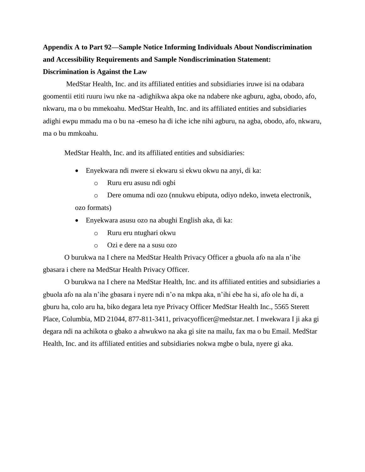## **Appendix A to Part 92—Sample Notice Informing Individuals About Nondiscrimination and Accessibility Requirements and Sample Nondiscrimination Statement: Discrimination is Against the Law**

MedStar Health, Inc. and its affiliated entities and subsidiaries iruwe isi na odabara goomentii etiti ruuru iwu nke na -adighikwa akpa oke na ndabere nke agburu, agba, obodo, afo, nkwaru, ma o bu mmekoahu. MedStar Health, Inc. and its affiliated entities and subsidiaries adighi ewpu mmadu ma o bu na -emeso ha di iche iche nihi agburu, na agba, obodo, afo, nkwaru, ma o bu mmkoahu.

MedStar Health, Inc. and its affiliated entities and subsidiaries:

- Enyekwara ndi nwere si ekwaru si ekwu okwu na anyi, di ka:
	- o Ruru eru asusu ndi ogbi

o Dere omuma ndi ozo (nnukwu ebiputa, odiyo ndeko, inweta electronik, ozo formats)

- Enyekwara asusu ozo na abughi English aka, di ka:
	- o Ruru eru ntughari okwu
	- o Ozi e dere na a susu ozo

O burukwa na I chere na MedStar Health Privacy Officer a gbuola afo na ala n'ihe gbasara i chere na MedStar Health Privacy Officer.

O burukwa na I chere na MedStar Health, Inc. and its affiliated entities and subsidiaries a gbuola afo na ala n'ihe gbasara i nyere ndi n'o na mkpa aka, n'ihi ebe ha si, afo ole ha di, a gburu ha, colo aru ha, biko degara leta nye Privacy Officer MedStar Health Inc., 5565 Sterett Place, Columbia, MD 21044, 877-811-3411, privacyofficer@medstar.net. I nwekwara I ji aka gi degara ndi na achikota o gbako a ahwukwo na aka gi site na mailu, fax ma o bu Email. MedStar Health, Inc. and its affiliated entities and subsidiaries nokwa mgbe o bula, nyere gi aka.